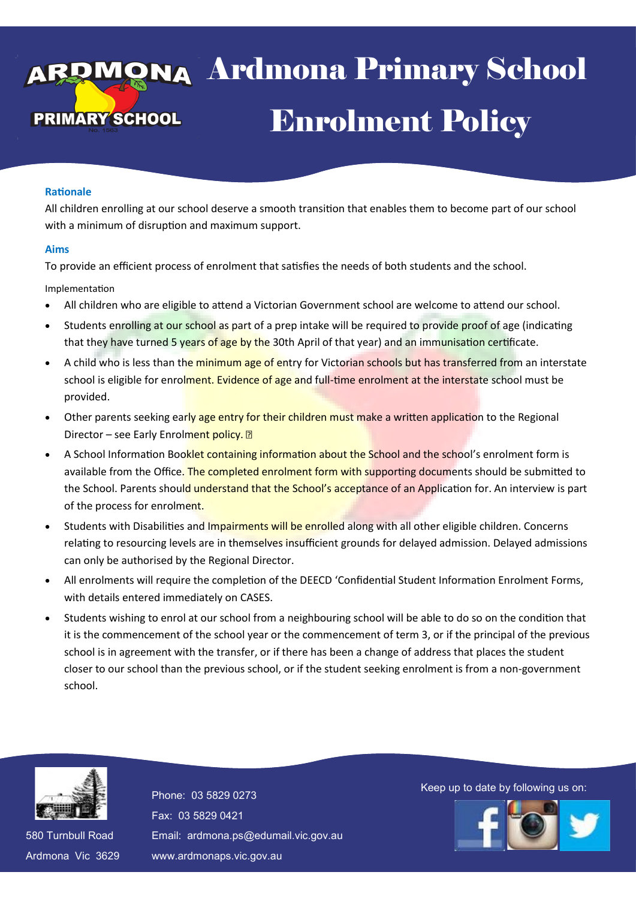# va Ardmona Pri **Enrolment Policy** 13 April 2016 enool -Ardmona Primary School

### **Rationale**

All children enrolling at our school deserve a smooth transition that enables them to become part of our school with a minimum of disruption and maximum support.

#### **Aims**

To provide an efficient process of enrolment that satisfies the needs of both students and the school.

Implementation

- All children who are eligible to attend a Victorian Government school are welcome to attend our school.
- Students enrolling at our school as part of a prep intake will be required to provide proof of age (indicating that they have turned 5 years of age by the 30th April of that year) and an immunisation certificate.
- A child who is less than the minimum age of entry for Victorian schools but has transferred from an interstate school is eligible for enrolment. Evidence of age and full-time enrolment at the interstate school must be provided.
- Other parents seeking early age entry for their children must make a written application to the Regional Director – see Early Enrolment policy. 2
- A School Information Booklet containing information about the School and the school's enrolment form is available from the Office. The completed enrolment form with supporting documents should be submitted to the School. Parents should understand that the School's acceptance of an Application for. An interview is part of the process for enrolment.
- Students with Disabilities and Impairments will be enrolled along with all other eligible children. Concerns relating to resourcing levels are in themselves insufficient grounds for delayed admission. Delayed admissions can only be authorised by the Regional Director.
- All enrolments will require the completion of the DEECD 'Confidential Student Information Enrolment Forms, with details entered immediately on CASES.
- Students wishing to enrol at our school from a neighbouring school will be able to do so on the condition that it is the commencement of the school year or the commencement of term 3, or if the principal of the previous school is in agreement with the transfer, or if there has been a change of address that places the student closer to our school than the previous school, or if the student seeking enrolment is from a non-government school.



580 Turnbull Road 580 Turnbull Road Ardmona Vic 3629 Ardmona Vic 3629 Fax: 03 5829 0421 Fax: 03 5829 0421 Email: ardmona.ps@edumail.vic.gov.au Email: ardmona.ps@edumail.vic.gov.au www.ardmonaps.vic.gov.au www.ardmonaps.vic.gov.au

Thone: 03 5829 0273<br>Phone: 03 5829 0273